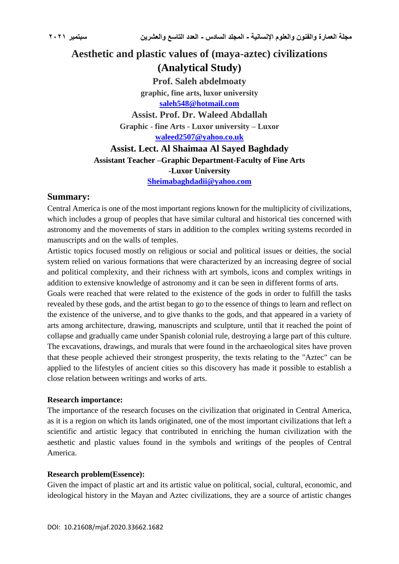# **Aesthetic and plastic values of (maya-aztec) civilizations (Analytical Study)**

**Prof. Saleh abdelmoaty graphic, fine arts, luxor university [saleh548@hotmail.com](mailto:saleh548@hotmail.com)**

**Assist. Prof. Dr. Waleed Abdallah Graphic - fine Arts - Luxor university – Luxor [waleed2507@yahoo.co.uk](mailto:waleed2507@yahoo.co.uk)**

**Assist. Lect. Al Shaimaa Al Sayed Baghdady Assistant Teacher –Graphic Department-Faculty of Fine Arts -Luxor University [Sheimabaghdadii@yahoo.com](mailto:Sheimabaghdadii@yahoo.com)**

#### **Summary:**

Central America is one of the most important regions known for the multiplicity of civilizations, which includes a group of peoples that have similar cultural and historical ties concerned with astronomy and the movements of stars in addition to the complex writing systems recorded in manuscripts and on the walls of temples.

Artistic topics focused mostly on religious or social and political issues or deities, the social system relied on various formations that were characterized by an increasing degree of social and political complexity, and their richness with art symbols, icons and complex writings in addition to extensive knowledge of astronomy and it can be seen in different forms of arts.

Goals were reached that were related to the existence of the gods in order to fulfill the tasks revealed by these gods, and the artist began to go to the essence of things to learn and reflect on the existence of the universe, and to give thanks to the gods, and that appeared in a variety of arts among architecture, drawing, manuscripts and sculpture, until that it reached the point of collapse and gradually came under Spanish colonial rule, destroying a large part of this culture. The excavations, drawings, and murals that were found in the archaeological sites have proven that these people achieved their strongest prosperity, the texts relating to the "Aztec" can be applied to the lifestyles of ancient cities so this discovery has made it possible to establish a close relation between writings and works of arts.

#### **Research importance:**

The importance of the research focuses on the civilization that originated in Central America, as it is a region on which its lands originated, one of the most important civilizations that left a scientific and artistic legacy that contributed in enriching the human civilization with the aesthetic and plastic values found in the symbols and writings of the peoples of Central America.

#### **Research problem(Essence):**

Given the impact of plastic art and its artistic value on political, social, cultural, economic, and ideological history in the Mayan and Aztec civilizations, they are a source of artistic changes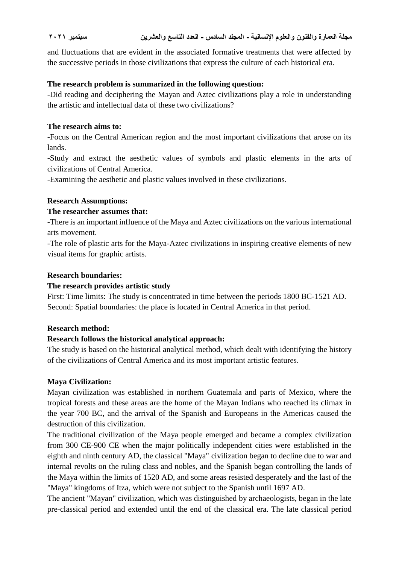and fluctuations that are evident in the associated formative treatments that were affected by the successive periods in those civilizations that express the culture of each historical era.

### **The research problem is summarized in the following question:**

-Did reading and deciphering the Mayan and Aztec civilizations play a role in understanding the artistic and intellectual data of these two civilizations?

#### **The research aims to:**

-Focus on the Central American region and the most important civilizations that arose on its lands.

-Study and extract the aesthetic values of symbols and plastic elements in the arts of civilizations of Central America.

-Examining the aesthetic and plastic values involved in these civilizations.

#### **Research Assumptions:**

#### **The researcher assumes that:**

-There is an important influence of the Maya and Aztec civilizations on the various international arts movement.

-The role of plastic arts for the Maya-Aztec civilizations in inspiring creative elements of new visual items for graphic artists.

#### **Research boundaries:**

#### **The research provides artistic study**

First: Time limits: The study is concentrated in time between the periods 1800 BC-1521 AD. Second: Spatial boundaries: the place is located in Central America in that period.

### **Research method:**

### **Research follows the historical analytical approach:**

The study is based on the historical analytical method, which dealt with identifying the history of the civilizations of Central America and its most important artistic features.

### **Maya Civilization:**

Mayan civilization was established in northern Guatemala and parts of Mexico, where the tropical forests and these areas are the home of the Mayan Indians who reached its climax in the year 700 BC, and the arrival of the Spanish and Europeans in the Americas caused the destruction of this civilization.

The traditional civilization of the Maya people emerged and became a complex civilization from 300 CE-900 CE when the major politically independent cities were established in the eighth and ninth century AD, the classical "Maya" civilization began to decline due to war and internal revolts on the ruling class and nobles, and the Spanish began controlling the lands of the Maya within the limits of 1520 AD, and some areas resisted desperately and the last of the "Maya" kingdoms of Itza, which were not subject to the Spanish until 1697 AD.

The ancient "Mayan" civilization, which was distinguished by archaeologists, began in the late pre-classical period and extended until the end of the classical era. The late classical period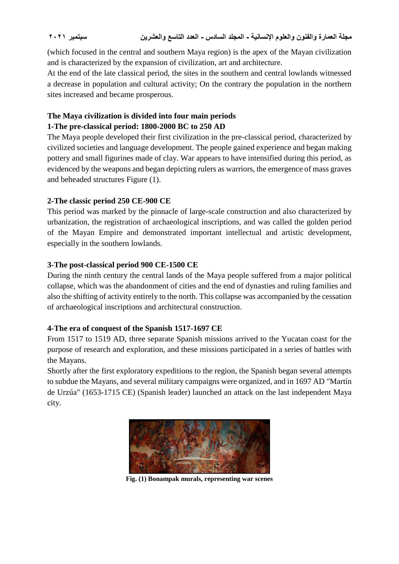(which focused in the central and southern Maya region) is the apex of the Mayan civilization and is characterized by the expansion of civilization, art and architecture.

At the end of the late classical period, the sites in the southern and central lowlands witnessed a decrease in population and cultural activity; On the contrary the population in the northern sites increased and became prosperous.

## **The Maya civilization is divided into four main periods 1-The pre-classical period: 1800-2000 BC to 250 AD**

The Maya people developed their first civilization in the pre-classical period, characterized by civilized societies and language development. The people gained experience and began making pottery and small figurines made of clay. War appears to have intensified during this period, as evidenced by the weapons and began depicting rulers as warriors, the emergence of mass graves and beheaded structures Figure (1).

## **2-The classic period 250 CE-900 CE**

This period was marked by the pinnacle of large-scale construction and also characterized by urbanization, the registration of archaeological inscriptions, and was called the golden period of the Mayan Empire and demonstrated important intellectual and artistic development, especially in the southern lowlands.

## **3-The post-classical period 900 CE-1500 CE**

During the ninth century the central lands of the Maya people suffered from a major political collapse, which was the abandonment of cities and the end of dynasties and ruling families and also the shifting of activity entirely to the north. This collapse was accompanied by the cessation of archaeological inscriptions and architectural construction.

## **4-The era of conquest of the Spanish 1517-1697 CE**

From 1517 to 1519 AD, three separate Spanish missions arrived to the Yucatan coast for the purpose of research and exploration, and these missions participated in a series of battles with the Mayans.

Shortly after the first exploratory expeditions to the region, the Spanish began several attempts to subdue the Mayans, and several military campaigns were organized, and in 1697 AD "Martín de Urzúa" (1653-1715 CE) (Spanish leader) launched an attack on the last independent Maya city.



**Fig. (1) Bonampak murals, representing war scenes**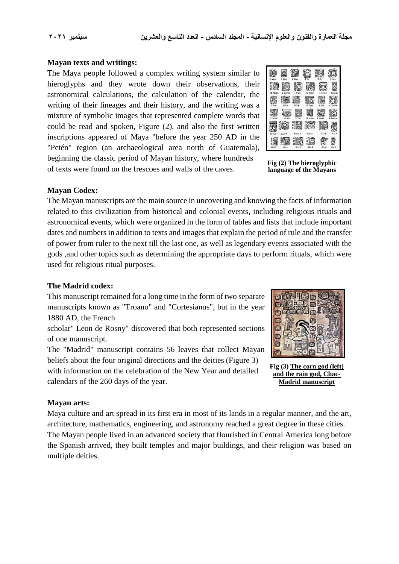#### **Mayan texts and writings:**

The Maya people followed a complex writing system similar to hieroglyphs and they wrote down their observations, their astronomical calculations, the calculation of the calendar, the writing of their lineages and their history, and the writing was a mixture of symbolic images that represented complete words that could be read and spoken, Figure (2), and also the first written inscriptions appeared of Maya "before the year 250 AD in the "Petén" region (an archaeological area north of Guatemala), beginning the classic period of Mayan history, where hundreds of texts were found on the frescoes and walls of the caves.



**Fig (2) The hieroglyphic language of the Mayans**

#### **Mayan Codex:**

The Mayan manuscripts are the main source in uncovering and knowing the facts of information related to this civilization from historical and colonial events, including religious rituals and astronomical events, which were organized in the form of tables and lists that include important dates and numbers in addition to texts and images that explain the period of rule and the transfer of power from ruler to the next till the last one, as well as legendary events associated with the gods ,and other topics such as determining the appropriate days to perform rituals, which were used for religious ritual purposes.

#### **The Madrid codex:**

This manuscript remained for a long time in the form of two separate manuscripts known as "Troano" and "Cortesianus", but in the year 1880 AD, the French

scholar" Leon de Rosny" discovered that both represented sections of one manuscript.

The "Madrid" manuscript contains 56 leaves that collect Mayan beliefs about the four original directions and the deities (Figure 3) with information on the celebration of the New Year and detailed



**Fig (3) The corn god (left) and the rain god, Chac-Madrid manuscript**

### **Mayan arts:**

calendars of the 260 days of the year.

Maya culture and art spread in its first era in most of its lands in a regular manner, and the art, architecture, mathematics, engineering, and astronomy reached a great degree in these cities. The Mayan people lived in an advanced society that flourished in Central America long before the Spanish arrived, they built temples and major buildings, and their religion was based on multiple deities.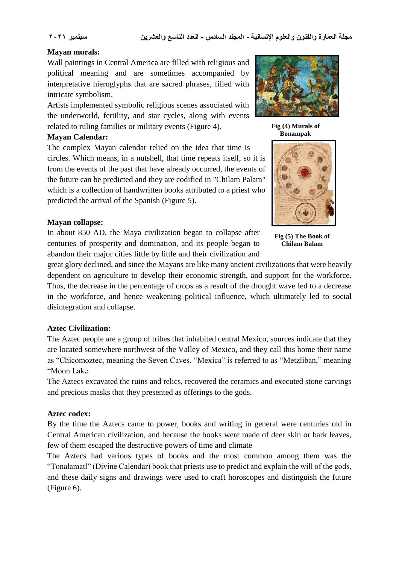#### **Mayan murals:**

Wall paintings in Central America are filled with religious and political meaning and are sometimes accompanied by interpretative hieroglyphs that are sacred phrases, filled with intricate symbolism.

Artists implemented symbolic religious scenes associated with the underworld, fertility, and star cycles, along with events related to ruling families or military events (Figure 4).

#### **Mayan Calendar:**

The complex Mayan calendar relied on the idea that time is circles. Which means, in a nutshell, that time repeats itself, so it is from the events of the past that have already occurred, the events of the future can be predicted and they are codified in "Chilam Palam" which is a collection of handwritten books attributed to a priest who predicted the arrival of the Spanish (Figure 5).

#### **Mayan collapse:**

In about 850 AD, the Maya civilization began to collapse after centuries of prosperity and domination, and its people began to abandon their major cities little by little and their civilization and

**Fig (5) The Book of Chilam Balam**

great glory declined, and since the Mayans are like many ancient civilizations that were heavily dependent on agriculture to develop their economic strength, and support for the workforce. Thus, the decrease in the percentage of crops as a result of the drought wave led to a decrease in the workforce, and hence weakening political influence, which ultimately led to social disintegration and collapse.

### **Aztec Civilization:**

The Aztec people are a group of tribes that inhabited central Mexico, sources indicate that they are located somewhere northwest of the Valley of Mexico, and they call this home their name as "Chicomoztec, meaning the Seven Caves. "Mexica" is referred to as "Metzliban," meaning "Moon Lake.

The Aztecs excavated the ruins and relics, recovered the ceramics and executed stone carvings and precious masks that they presented as offerings to the gods.

### **Aztec codex:**

By the time the Aztecs came to power, books and writing in general were centuries old in Central American civilization, and because the books were made of deer skin or bark leaves, few of them escaped the destructive powers of time and climate

The Aztecs had various types of books and the most common among them was the "Tonalamatl" (Divine Calendar) book that priests use to predict and explain the will of the gods, and these daily signs and drawings were used to craft horoscopes and distinguish the future (Figure 6).



**Fig (4) Murals of Bonampak**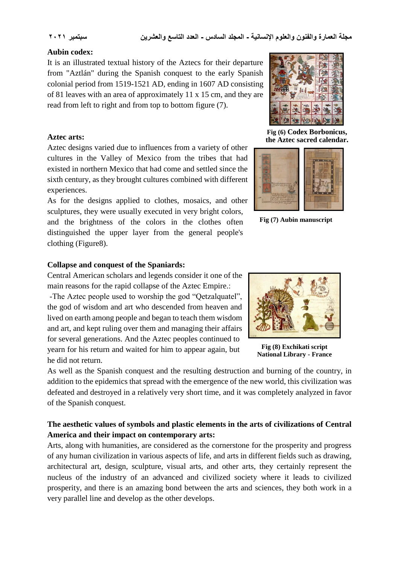#### **Aubin codex:**

It is an illustrated textual history of the Aztecs for their departure from "Aztlán" during the Spanish conquest to the early Spanish colonial period from 1519-1521 AD, ending in 1607 AD consisting of 81 leaves with an area of approximately 11 x 15 cm, and they are read from left to right and from top to bottom figure (7).

#### **Aztec arts:**

Aztec designs varied due to influences from a variety of other cultures in the Valley of Mexico from the tribes that had existed in northern Mexico that had come and settled since the sixth century, as they brought cultures combined with different experiences.

As for the designs applied to clothes, mosaics, and other sculptures, they were usually executed in very bright colors, and the brightness of the colors in the clothes often distinguished the upper layer from the general people's clothing (Figure8).



**Fig (6) Codex Borbonicus, the Aztec sacred calendar.**



**Fig (7) Aubin manuscript** 

#### **Collapse and conquest of the Spaniards:**

Central American scholars and legends consider it one of the main reasons for the rapid collapse of the Aztec Empire.: -The Aztec people used to worship the god "Qetzalquatel",

the god of wisdom and art who descended from heaven and lived on earth among people and began to teach them wisdom and art, and kept ruling over them and managing their affairs for several generations. And the Aztec peoples continued to yearn for his return and waited for him to appear again, but he did not return.



**Fig (8) Exchikati script National Library - France** 

As well as the Spanish conquest and the resulting destruction and burning of the country, in addition to the epidemics that spread with the emergence of the new world, this civilization was defeated and destroyed in a relatively very short time, and it was completely analyzed in favor of the Spanish conquest.

## **The aesthetic values of symbols and plastic elements in the arts of civilizations of Central America and their impact on contemporary arts:**

Arts, along with humanities, are considered as the cornerstone for the prosperity and progress of any human civilization in various aspects of life, and arts in different fields such as drawing, architectural art, design, sculpture, visual arts, and other arts, they certainly represent the nucleus of the industry of an advanced and civilized society where it leads to civilized prosperity, and there is an amazing bond between the arts and sciences, they both work in a very parallel line and develop as the other develops.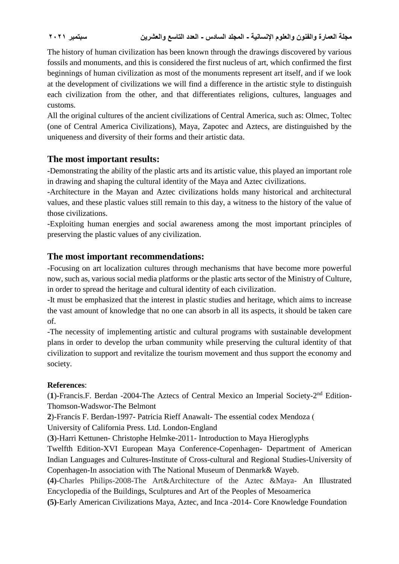The history of human civilization has been known through the drawings discovered by various fossils and monuments, and this is considered the first nucleus of art, which confirmed the first beginnings of human civilization as most of the monuments represent art itself, and if we look at the development of civilizations we will find a difference in the artistic style to distinguish each civilization from the other, and that differentiates religions, cultures, languages and customs.

All the original cultures of the ancient civilizations of Central America, such as: Olmec, Toltec (one of Central America Civilizations), Maya, Zapotec and Aztecs, are distinguished by the uniqueness and diversity of their forms and their artistic data.

## **The most important results:**

-Demonstrating the ability of the plastic arts and its artistic value, this played an important role in drawing and shaping the cultural identity of the Maya and Aztec civilizations.

-Architecture in the Mayan and Aztec civilizations holds many historical and architectural values, and these plastic values still remain to this day, a witness to the history of the value of those civilizations.

-Exploiting human energies and social awareness among the most important principles of preserving the plastic values of any civilization.

## **The most important recommendations:**

-Focusing on art localization cultures through mechanisms that have become more powerful now, such as, various social media platforms or the plastic arts sector of the Ministry of Culture, in order to spread the heritage and cultural identity of each civilization.

-It must be emphasized that the interest in plastic studies and heritage, which aims to increase the vast amount of knowledge that no one can absorb in all its aspects, it should be taken care of.

-The necessity of implementing artistic and cultural programs with sustainable development plans in order to develop the urban community while preserving the cultural identity of that civilization to support and revitalize the tourism movement and thus support the economy and society.

## **References**:

(1)-Francis.F. Berdan -2004-The Aztecs of Central Mexico an Imperial Society-2<sup>nd</sup> Edition-Thomson-Wadswor-The Belmont

**2**)-Francis F. Berdan-1997- Patricia Rieff Anawalt- The essential codex Mendoza )

University of California Press. Ltd. London-England

(**3**)-Harri Kettunen- Christophe Helmke-2011- Introduction to Maya Hieroglyphs

Twelfth Edition-XVI European Maya Conference-Copenhagen- Department of American Indian Languages and Cultures-Institute of Cross-cultural and Regional Studies-University of Copenhagen-In association with The National Museum of Denmark& Wayeb.

**(4)**-Charles Philips-2008-The Art&Architecture of the Aztec &Maya- An Illustrated Encyclopedia of the Buildings, Sculptures and Art of the Peoples of Mesoamerica

**(5)**-Early American Civilizations Maya, Aztec, and Inca -2014- Core Knowledge Foundation